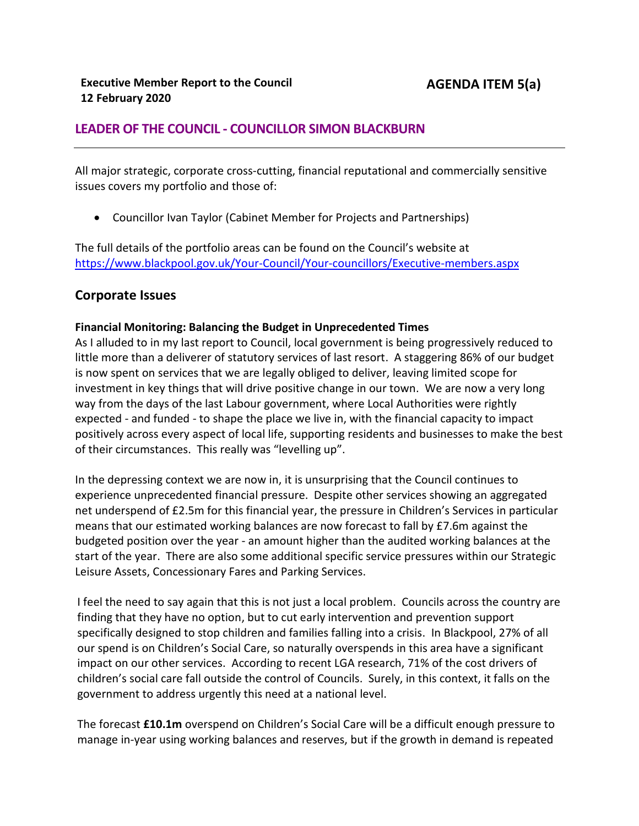# **LEADER OF THE COUNCIL - COUNCILLOR SIMON BLACKBURN**

All major strategic, corporate cross-cutting, financial reputational and commercially sensitive issues covers my portfolio and those of:

Councillor Ivan Taylor (Cabinet Member for Projects and Partnerships)

The full details of the portfolio areas can be found on the Council's website at <https://www.blackpool.gov.uk/Your-Council/Your-councillors/Executive-members.aspx>

## **Corporate Issues**

### **Financial Monitoring: Balancing the Budget in Unprecedented Times**

As I alluded to in my last report to Council, local government is being progressively reduced to little more than a deliverer of statutory services of last resort. A staggering 86% of our budget is now spent on services that we are legally obliged to deliver, leaving limited scope for investment in key things that will drive positive change in our town. We are now a very long way from the days of the last Labour government, where Local Authorities were rightly expected - and funded - to shape the place we live in, with the financial capacity to impact positively across every aspect of local life, supporting residents and businesses to make the best of their circumstances. This really was "levelling up".

In the depressing context we are now in, it is unsurprising that the Council continues to experience unprecedented financial pressure. Despite other services showing an aggregated net underspend of £2.5m for this financial year, the pressure in Children's Services in particular means that our estimated working balances are now forecast to fall by £7.6m against the budgeted position over the year - an amount higher than the audited working balances at the start of the year. There are also some additional specific service pressures within our Strategic Leisure Assets, Concessionary Fares and Parking Services.

I feel the need to say again that this is not just a local problem. Councils across the country are finding that they have no option, but to cut early intervention and prevention support specifically designed to stop children and families falling into a crisis. In Blackpool, 27% of all our spend is on Children's Social Care, so naturally overspends in this area have a significant impact on our other services. According to recent LGA research, 71% of the cost drivers of children's social care fall outside the control of Councils. Surely, in this context, it falls on the government to address urgently this need at a national level.

 The forecast **£10.1m** overspend on Children's Social Care will be a difficult enough pressure to manage in-year using working balances and reserves, but if the growth in demand is repeated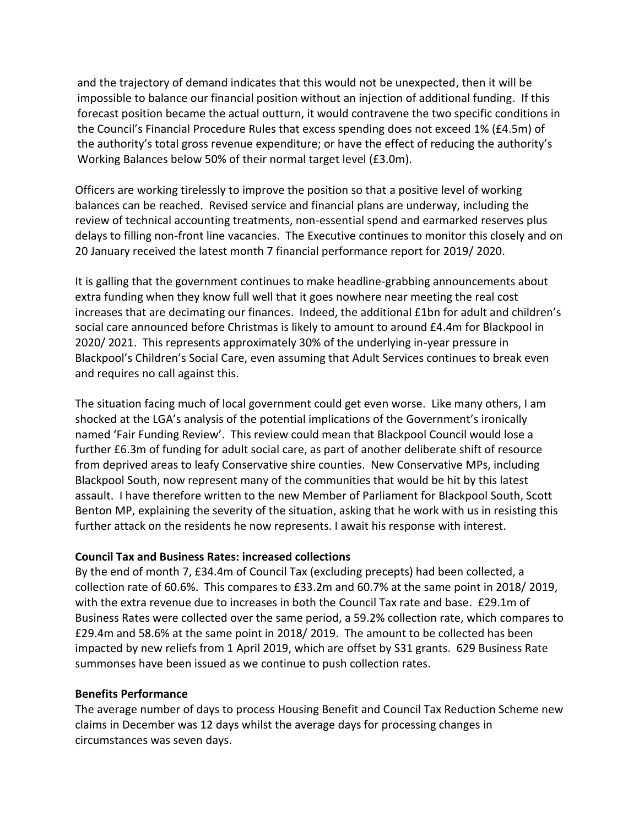and the trajectory of demand indicates that this would not be unexpected, then it will be impossible to balance our financial position without an injection of additional funding. If this forecast position became the actual outturn, it would contravene the two specific conditions in the Council's Financial Procedure Rules that excess spending does not exceed 1% (£4.5m) of the authority's total gross revenue expenditure; or have the effect of reducing the authority's Working Balances below 50% of their normal target level (£3.0m).

Officers are working tirelessly to improve the position so that a positive level of working balances can be reached. Revised service and financial plans are underway, including the review of technical accounting treatments, non-essential spend and earmarked reserves plus delays to filling non-front line vacancies. The Executive continues to monitor this closely and on 20 January received the latest month 7 financial performance report for 2019/ 2020.

It is galling that the government continues to make headline-grabbing announcements about extra funding when they know full well that it goes nowhere near meeting the real cost increases that are decimating our finances. Indeed, the additional £1bn for adult and children's social care announced before Christmas is likely to amount to around £4.4m for Blackpool in 2020/ 2021. This represents approximately 30% of the underlying in-year pressure in Blackpool's Children's Social Care, even assuming that Adult Services continues to break even and requires no call against this.

The situation facing much of local government could get even worse. Like many others, I am shocked at the LGA's analysis of the potential implications of the Government's ironically named 'Fair Funding Review'. This review could mean that Blackpool Council would lose a further £6.3m of funding for adult social care, as part of another deliberate shift of resource from deprived areas to leafy Conservative shire counties. New Conservative MPs, including Blackpool South, now represent many of the communities that would be hit by this latest assault. I have therefore written to the new Member of Parliament for Blackpool South, Scott Benton MP, explaining the severity of the situation, asking that he work with us in resisting this further attack on the residents he now represents. I await his response with interest.

#### **Council Tax and Business Rates: increased collections**

By the end of month 7, £34.4m of Council Tax (excluding precepts) had been collected, a collection rate of 60.6%. This compares to £33.2m and 60.7% at the same point in 2018/ 2019, with the extra revenue due to increases in both the Council Tax rate and base. £29.1m of Business Rates were collected over the same period, a 59.2% collection rate, which compares to £29.4m and 58.6% at the same point in 2018/ 2019. The amount to be collected has been impacted by new reliefs from 1 April 2019, which are offset by S31 grants. 629 Business Rate summonses have been issued as we continue to push collection rates.

#### **Benefits Performance**

The average number of days to process Housing Benefit and Council Tax Reduction Scheme new claims in December was 12 days whilst the average days for processing changes in circumstances was seven days.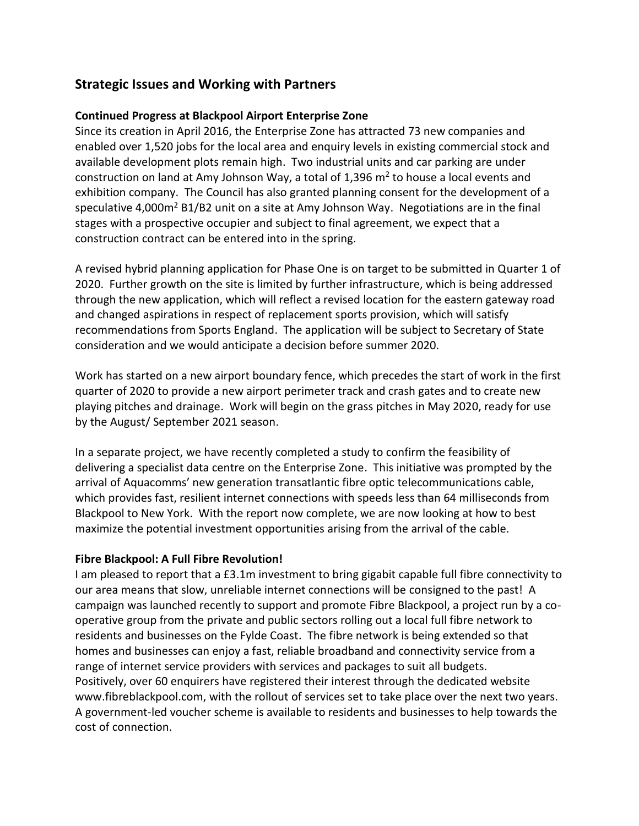# **Strategic Issues and Working with Partners**

## **Continued Progress at Blackpool Airport Enterprise Zone**

Since its creation in April 2016, the Enterprise Zone has attracted 73 new companies and enabled over 1,520 jobs for the local area and enquiry levels in existing commercial stock and available development plots remain high. Two industrial units and car parking are under construction on land at Amy Johnson Way, a total of 1,396 m<sup>2</sup> to house a local events and exhibition company. The Council has also granted planning consent for the development of a speculative 4,000 $m<sup>2</sup>$  B1/B2 unit on a site at Amy Johnson Way. Negotiations are in the final stages with a prospective occupier and subject to final agreement, we expect that a construction contract can be entered into in the spring.

A revised hybrid planning application for Phase One is on target to be submitted in Quarter 1 of 2020. Further growth on the site is limited by further infrastructure, which is being addressed through the new application, which will reflect a revised location for the eastern gateway road and changed aspirations in respect of replacement sports provision, which will satisfy recommendations from Sports England. The application will be subject to Secretary of State consideration and we would anticipate a decision before summer 2020.

Work has started on a new airport boundary fence, which precedes the start of work in the first quarter of 2020 to provide a new airport perimeter track and crash gates and to create new playing pitches and drainage. Work will begin on the grass pitches in May 2020, ready for use by the August/ September 2021 season.

In a separate project, we have recently completed a study to confirm the feasibility of delivering a specialist data centre on the Enterprise Zone. This initiative was prompted by the arrival of Aquacomms' new generation transatlantic fibre optic telecommunications cable, which provides fast, resilient internet connections with speeds less than 64 milliseconds from Blackpool to New York. With the report now complete, we are now looking at how to best maximize the potential investment opportunities arising from the arrival of the cable.

#### **Fibre Blackpool: A Full Fibre Revolution!**

I am pleased to report that a £3.1m investment to bring gigabit capable full fibre connectivity to our area means that slow, unreliable internet connections will be consigned to the past! A campaign was launched recently to support and promote Fibre Blackpool, a project run by a cooperative group from the private and public sectors rolling out a local full fibre network to residents and businesses on the Fylde Coast. The fibre network is being extended so that homes and businesses can enjoy a fast, reliable broadband and connectivity service from a range of internet service providers with services and packages to suit all budgets. Positively, over 60 enquirers have registered their interest through the dedicated website [www.fibreblackpool.com,](http://www.fibreblackpool.com/) with the rollout of services set to take place over the next two years. A government-led voucher scheme is available to residents and businesses to help towards the cost of connection.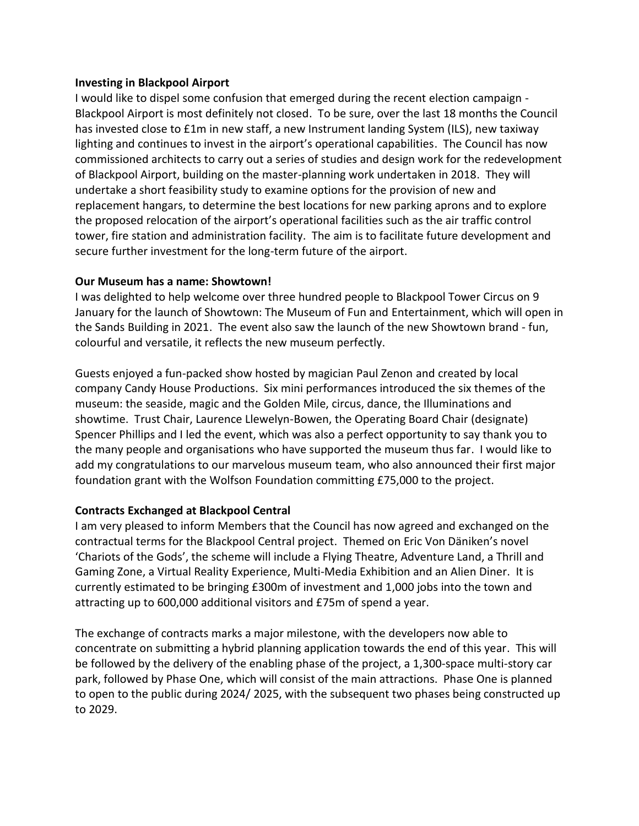#### **Investing in Blackpool Airport**

I would like to dispel some confusion that emerged during the recent election campaign - Blackpool Airport is most definitely not closed. To be sure, over the last 18 months the Council has invested close to £1m in new staff, a new Instrument landing System (ILS), new taxiway lighting and continues to invest in the airport's operational capabilities. The Council has now commissioned architects to carry out a series of studies and design work for the redevelopment of Blackpool Airport, building on the master-planning work undertaken in 2018. They will undertake a short feasibility study to examine options for the provision of new and replacement hangars, to determine the best locations for new parking aprons and to explore the proposed relocation of the airport's operational facilities such as the air traffic control tower, fire station and administration facility. The aim is to facilitate future development and secure further investment for the long-term future of the airport.

#### **Our Museum has a name: Showtown!**

I was delighted to help welcome over three hundred people to Blackpool Tower Circus on 9 January for the launch of Showtown: The Museum of Fun and Entertainment, which will open in the Sands Building in 2021. The event also saw the launch of the new Showtown brand - fun, colourful and versatile, it reflects the new museum perfectly.

Guests enjoyed a fun-packed show hosted by magician Paul Zenon and created by local company Candy House Productions. Six mini performances introduced the six themes of the museum: the seaside, magic and the Golden Mile, circus, dance, the Illuminations and showtime. Trust Chair, Laurence Llewelyn-Bowen, the Operating Board Chair (designate) Spencer Phillips and I led the event, which was also a perfect opportunity to say thank you to the many people and organisations who have supported the museum thus far. I would like to add my congratulations to our marvelous museum team, who also announced their first major foundation grant with the Wolfson Foundation committing £75,000 to the project.

#### **Contracts Exchanged at Blackpool Central**

I am very pleased to inform Members that the Council has now agreed and exchanged on the contractual terms for the Blackpool Central project. Themed on Eric Von Däniken's novel 'Chariots of the Gods', the scheme will include a Flying Theatre, Adventure Land, a Thrill and Gaming Zone, a Virtual Reality Experience, Multi-Media Exhibition and an Alien Diner. It is currently estimated to be bringing £300m of investment and 1,000 jobs into the town and attracting up to 600,000 additional visitors and £75m of spend a year.

The exchange of contracts marks a major milestone, with the developers now able to concentrate on submitting a hybrid planning application towards the end of this year. This will be followed by the delivery of the enabling phase of the project, a 1,300-space multi-story car park, followed by Phase One, which will consist of the main attractions. Phase One is planned to open to the public during 2024/ 2025, with the subsequent two phases being constructed up to 2029.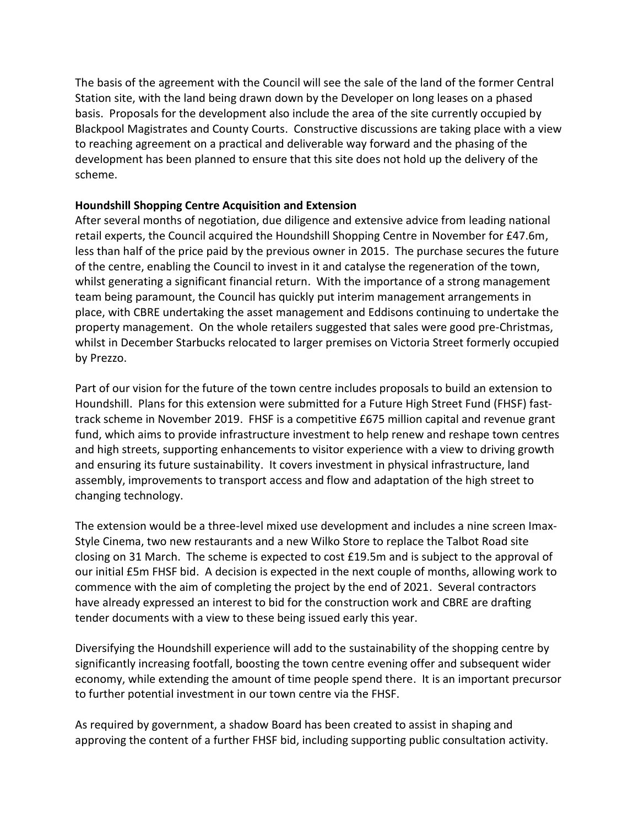The basis of the agreement with the Council will see the sale of the land of the former Central Station site, with the land being drawn down by the Developer on long leases on a phased basis. Proposals for the development also include the area of the site currently occupied by Blackpool Magistrates and County Courts. Constructive discussions are taking place with a view to reaching agreement on a practical and deliverable way forward and the phasing of the development has been planned to ensure that this site does not hold up the delivery of the scheme.

#### **Houndshill Shopping Centre Acquisition and Extension**

After several months of negotiation, due diligence and extensive advice from leading national retail experts, the Council acquired the Houndshill Shopping Centre in November for £47.6m, less than half of the price paid by the previous owner in 2015. The purchase secures the future of the centre, enabling the Council to invest in it and catalyse the regeneration of the town, whilst generating a significant financial return. With the importance of a strong management team being paramount, the Council has quickly put interim management arrangements in place, with CBRE undertaking the asset management and Eddisons continuing to undertake the property management. On the whole retailers suggested that sales were good pre-Christmas, whilst in December Starbucks relocated to larger premises on Victoria Street formerly occupied by Prezzo.

Part of our vision for the future of the town centre includes proposals to build an extension to Houndshill. Plans for this extension were submitted for a Future High Street Fund (FHSF) fasttrack scheme in November 2019. FHSF is a competitive £675 million capital and revenue grant fund, which aims to provide infrastructure investment to help renew and reshape town centres and high streets, supporting enhancements to visitor experience with a view to driving growth and ensuring its future sustainability. It covers investment in physical infrastructure, land assembly, improvements to transport access and flow and adaptation of the high street to changing technology.

The extension would be a three-level mixed use development and includes a nine screen Imax-Style Cinema, two new restaurants and a new Wilko Store to replace the Talbot Road site closing on 31 March. The scheme is expected to cost £19.5m and is subject to the approval of our initial £5m FHSF bid. A decision is expected in the next couple of months, allowing work to commence with the aim of completing the project by the end of 2021. Several contractors have already expressed an interest to bid for the construction work and CBRE are drafting tender documents with a view to these being issued early this year.

Diversifying the Houndshill experience will add to the sustainability of the shopping centre by significantly increasing footfall, boosting the town centre evening offer and subsequent wider economy, while extending the amount of time people spend there. It is an important precursor to further potential investment in our town centre via the FHSF.

As required by government, a shadow Board has been created to assist in shaping and approving the content of a further FHSF bid, including supporting public consultation activity.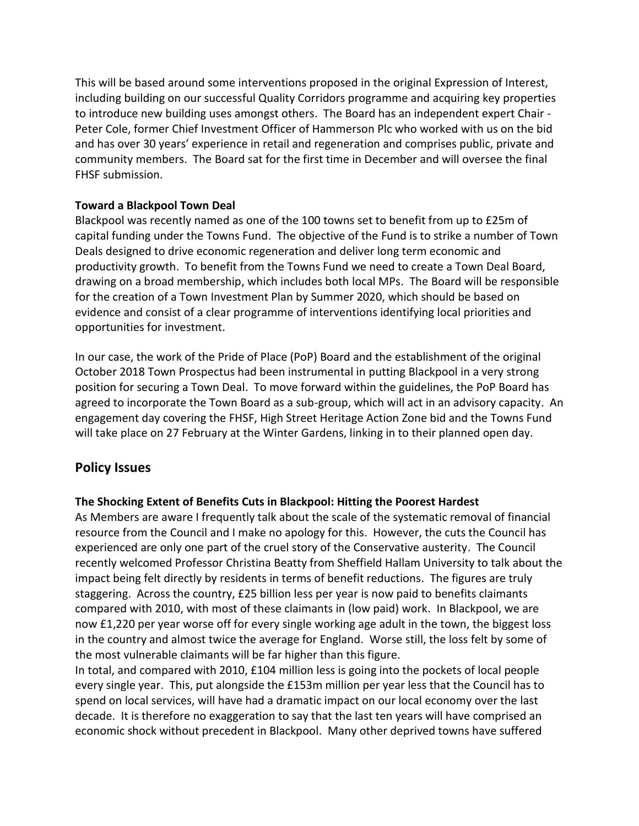This will be based around some interventions proposed in the original Expression of Interest, including building on our successful Quality Corridors programme and acquiring key properties to introduce new building uses amongst others. The Board has an independent expert Chair - Peter Cole, former Chief Investment Officer of Hammerson Plc who worked with us on the bid and has over 30 years' experience in retail and regeneration and comprises public, private and community members. The Board sat for the first time in December and will oversee the final FHSF submission.

### **Toward a Blackpool Town Deal**

Blackpool was recently named as one of the 100 towns set to benefit from up to £25m of capital funding under the Towns Fund. The objective of the Fund is to strike a number of Town Deals designed to drive economic regeneration and deliver long term economic and productivity growth. To benefit from the Towns Fund we need to create a Town Deal Board, drawing on a broad membership, which includes both local MPs. The Board will be responsible for the creation of a Town Investment Plan by Summer 2020, which should be based on evidence and consist of a clear programme of interventions identifying local priorities and opportunities for investment.

In our case, the work of the Pride of Place (PoP) Board and the establishment of the original October 2018 Town Prospectus had been instrumental in putting Blackpool in a very strong position for securing a Town Deal. To move forward within the guidelines, the PoP Board has agreed to incorporate the Town Board as a sub-group, which will act in an advisory capacity. An engagement day covering the FHSF, High Street Heritage Action Zone bid and the Towns Fund will take place on 27 February at the Winter Gardens, linking in to their planned open day.

## **Policy Issues**

## **The Shocking Extent of Benefits Cuts in Blackpool: Hitting the Poorest Hardest**

As Members are aware I frequently talk about the scale of the systematic removal of financial resource from the Council and I make no apology for this. However, the cuts the Council has experienced are only one part of the cruel story of the Conservative austerity. The Council recently welcomed Professor Christina Beatty from Sheffield Hallam University to talk about the impact being felt directly by residents in terms of benefit reductions. The figures are truly staggering. Across the country, £25 billion less per year is now paid to benefits claimants compared with 2010, with most of these claimants in (low paid) work. In Blackpool, we are now £1,220 per year worse off for every single working age adult in the town, the biggest loss in the country and almost twice the average for England. Worse still, the loss felt by some of the most vulnerable claimants will be far higher than this figure.

In total, and compared with 2010, £104 million less is going into the pockets of local people every single year. This, put alongside the £153m million per year less that the Council has to spend on local services, will have had a dramatic impact on our local economy over the last decade. It is therefore no exaggeration to say that the last ten years will have comprised an economic shock without precedent in Blackpool. Many other deprived towns have suffered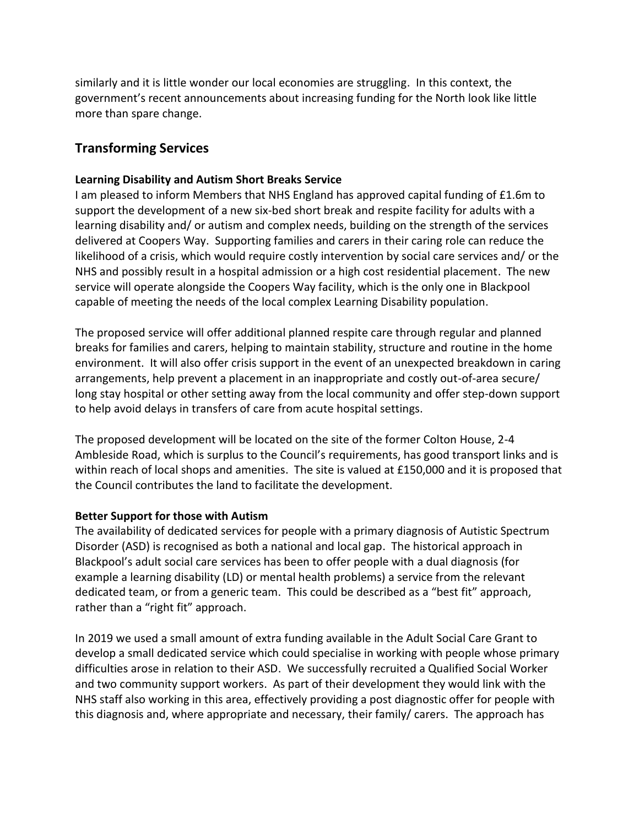similarly and it is little wonder our local economies are struggling. In this context, the government's recent announcements about increasing funding for the North look like little more than spare change.

# **Transforming Services**

## **Learning Disability and Autism Short Breaks Service**

I am pleased to inform Members that NHS England has approved capital funding of £1.6m to support the development of a new six-bed short break and respite facility for adults with a learning disability and/ or autism and complex needs, building on the strength of the services delivered at Coopers Way. Supporting families and carers in their caring role can reduce the likelihood of a crisis, which would require costly intervention by social care services and/ or the NHS and possibly result in a hospital admission or a high cost residential placement. The new service will operate alongside the Coopers Way facility, which is the only one in Blackpool capable of meeting the needs of the local complex Learning Disability population.

The proposed service will offer additional planned respite care through regular and planned breaks for families and carers, helping to maintain stability, structure and routine in the home environment. It will also offer crisis support in the event of an unexpected breakdown in caring arrangements, help prevent a placement in an inappropriate and costly out-of-area secure/ long stay hospital or other setting away from the local community and offer step-down support to help avoid delays in transfers of care from acute hospital settings.

The proposed development will be located on the site of the former Colton House, 2-4 Ambleside Road, which is surplus to the Council's requirements, has good transport links and is within reach of local shops and amenities. The site is valued at £150,000 and it is proposed that the Council contributes the land to facilitate the development.

#### **Better Support for those with Autism**

The availability of dedicated services for people with a primary diagnosis of Autistic Spectrum Disorder (ASD) is recognised as both a national and local gap. The historical approach in Blackpool's adult social care services has been to offer people with a dual diagnosis (for example a learning disability (LD) or mental health problems) a service from the relevant dedicated team, or from a generic team. This could be described as a "best fit" approach, rather than a "right fit" approach.

In 2019 we used a small amount of extra funding available in the Adult Social Care Grant to develop a small dedicated service which could specialise in working with people whose primary difficulties arose in relation to their ASD. We successfully recruited a Qualified Social Worker and two community support workers. As part of their development they would link with the NHS staff also working in this area, effectively providing a post diagnostic offer for people with this diagnosis and, where appropriate and necessary, their family/ carers. The approach has